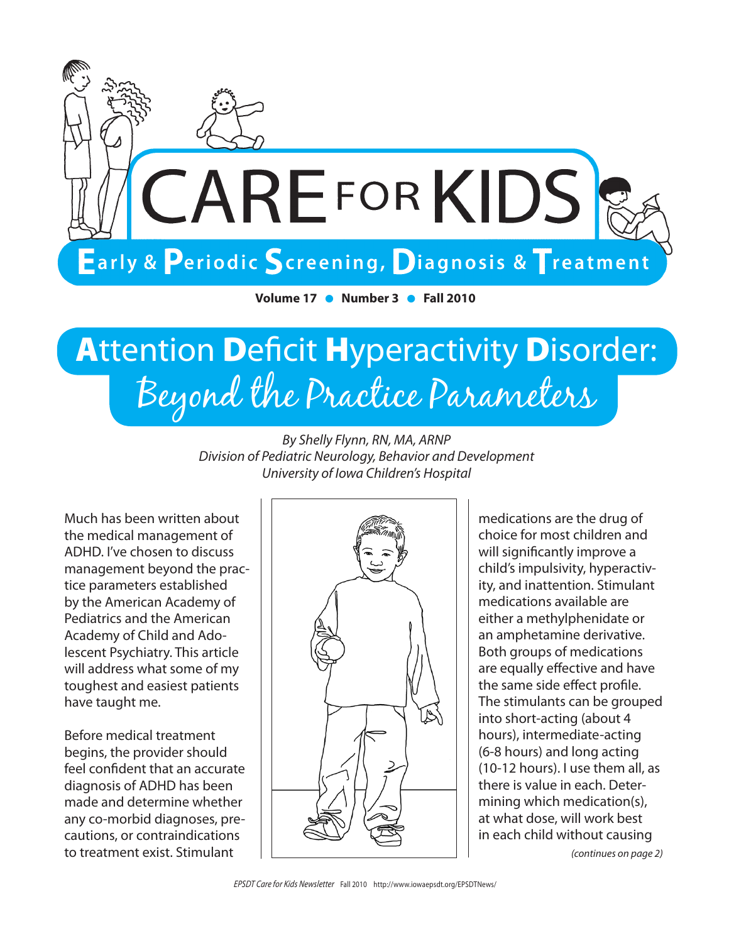

**Volume 17 • Number 3 • Fall 2010** 

## **Attention Deficit Hyperactivity Disorder:** Beyond the Practice Parameters

*By Shelly Flynn, RN, MA, ARNP Division of Pediatric Neurology, Behavior and Development University of Iowa Children's Hospital*

Much has been written about the medical management of ADHD. I've chosen to discuss management beyond the practice parameters established by the American Academy of Pediatrics and the American Academy of Child and Adolescent Psychiatry. This article will address what some of my toughest and easiest patients have taught me.

Before medical treatment begins, the provider should feel confident that an accurate diagnosis of ADHD has been made and determine whether any co-morbid diagnoses, precautions, or contraindications to treatment exist. Stimulant



medications are the drug of choice for most children and will significantly improve a child's impulsivity, hyperactivity, and inattention. Stimulant medications available are either a methylphenidate or an amphetamine derivative. Both groups of medications are equally effective and have the same side effect profile. The stimulants can be grouped into short-acting (about 4 hours), intermediate-acting (6-8 hours) and long acting (10-12 hours). I use them all, as there is value in each. Determining which medication(s), at what dose, will work best in each child without causing

*(continues on page 2)*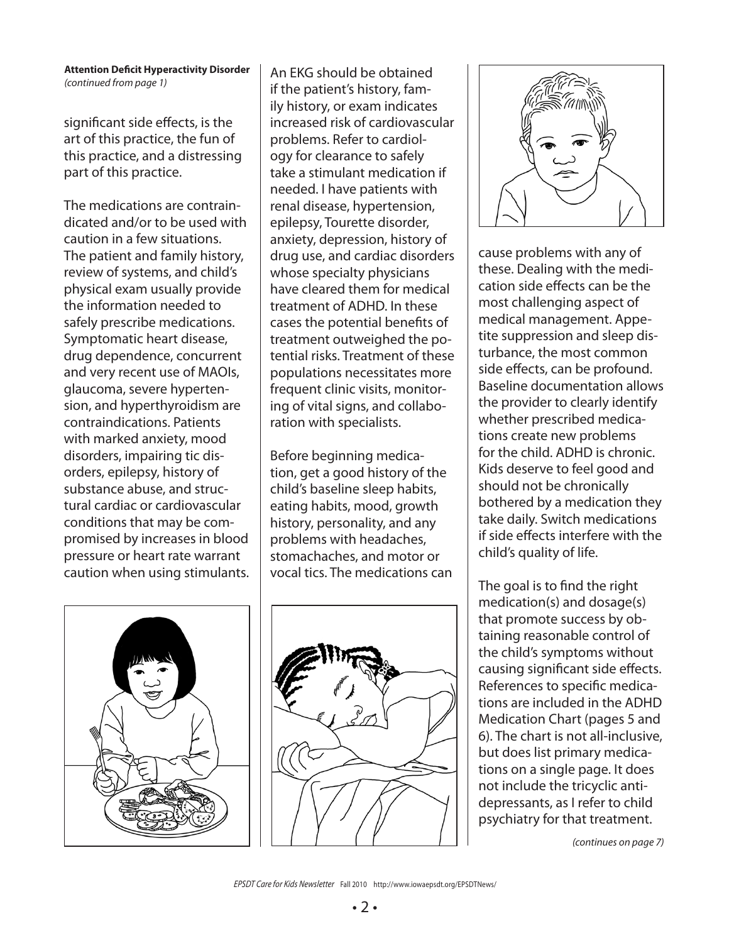#### **Attention Deficit Hyperactivity Disorder** *(continued from page 1)*

significant side effects, is the art of this practice, the fun of this practice, and a distressing part of this practice.

The medications are contraindicated and/or to be used with caution in a few situations. The patient and family history, review of systems, and child's physical exam usually provide the information needed to safely prescribe medications. Symptomatic heart disease, drug dependence, concurrent and very recent use of MAOIs, glaucoma, severe hypertension, and hyperthyroidism are contraindications. Patients with marked anxiety, mood disorders, impairing tic disorders, epilepsy, history of substance abuse, and structural cardiac or cardiovascular conditions that may be compromised by increases in blood pressure or heart rate warrant caution when using stimulants. An EKG should be obtained if the patient's history, family history, or exam indicates increased risk of cardiovascular problems. Refer to cardiology for clearance to safely take a stimulant medication if needed. I have patients with renal disease, hypertension, epilepsy, Tourette disorder, anxiety, depression, history of drug use, and cardiac disorders whose specialty physicians have cleared them for medical treatment of ADHD. In these cases the potential benefits of treatment outweighed the potential risks. Treatment of these populations necessitates more frequent clinic visits, monitoring of vital signs, and collaboration with specialists.

Before beginning medication, get a good history of the child's baseline sleep habits, eating habits, mood, growth history, personality, and any problems with headaches, stomachaches, and motor or vocal tics. The medications can







cause problems with any of these. Dealing with the medication side effects can be the most challenging aspect of medical management. Appetite suppression and sleep disturbance, the most common side effects, can be profound. Baseline documentation allows the provider to clearly identify whether prescribed medications create new problems for the child. ADHD is chronic. Kids deserve to feel good and should not be chronically bothered by a medication they take daily. Switch medications if side effects interfere with the child's quality of life.

The goal is to find the right medication(s) and dosage(s) that promote success by obtaining reasonable control of the child's symptoms without causing significant side effects. References to specific medications are included in the ADHD Medication Chart (pages 5 and 6). The chart is not all-inclusive, but does list primary medications on a single page. It does not include the tricyclic antidepressants, as I refer to child psychiatry for that treatment.

*(continues on page 7)*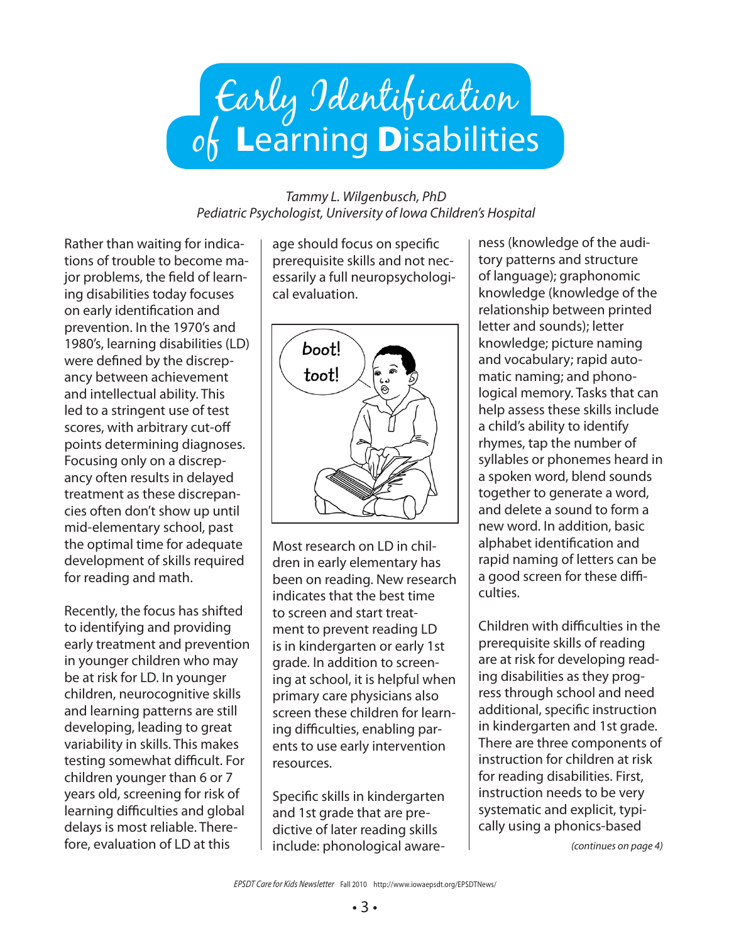# Early Identification  $o_0$  Learning Disabilities

#### *Tammy L. Wilgenbusch, PhD Pediatric Psychologist, University of Iowa Children's Hospital*

Rather than waiting for indications of trouble to become major problems, the field of learning disabilities today focuses on early identification and prevention. In the 1970's and 1980's, learning disabilities (LD) were defined by the discrepancy between achievement and intellectual ability. This led to a stringent use of test scores, with arbitrary cut-off points determining diagnoses. Focusing only on a discrepancy often results in delayed treatment as these discrepancies often don't show up until mid-elementary school, past the optimal time for adequate development of skills required for reading and math.

Recently, the focus has shifted to identifying and providing early treatment and prevention in younger children who may be at risk for LD. In younger children, neurocognitive skills and learning patterns are still developing, leading to great variability in skills. This makes testing somewhat difficult. For children younger than 6 or 7 years old, screening for risk of learning difficulties and global delays is most reliable. Therefore, evaluation of LD at this

age should focus on specific prerequisite skills and not necessarily a full neuropsychological evaluation.



Most research on LD in children in early elementary has been on reading. New research indicates that the best time to screen and start treatment to prevent reading LD is in kindergarten or early 1st grade. In addition to screening at school, it is helpful when primary care physicians also screen these children for learning difficulties, enabling parents to use early intervention resources.

Specific skills in kindergarten and 1st grade that are predictive of later reading skills include: phonological awareness (knowledge of the auditory patterns and structure of language); graphonomic knowledge (knowledge of the relationship between printed letter and sounds); letter knowledge; picture naming and vocabulary; rapid automatic naming; and phonological memory. Tasks that can help assess these skills include a child's ability to identify rhymes, tap the number of syllables or phonemes heard in a spoken word, blend sounds together to generate a word, and delete a sound to form a new word. In addition, basic alphabet identification and rapid naming of letters can be a good screen for these difficulties.

Children with difficulties in the prerequisite skills of reading are at risk for developing reading disabilities as they progress through school and need additional, specific instruction in kindergarten and 1st grade. There are three components of instruction for children at risk for reading disabilities. First, instruction needs to be very systematic and explicit, typically using a phonics-based

*(continues on page 4)*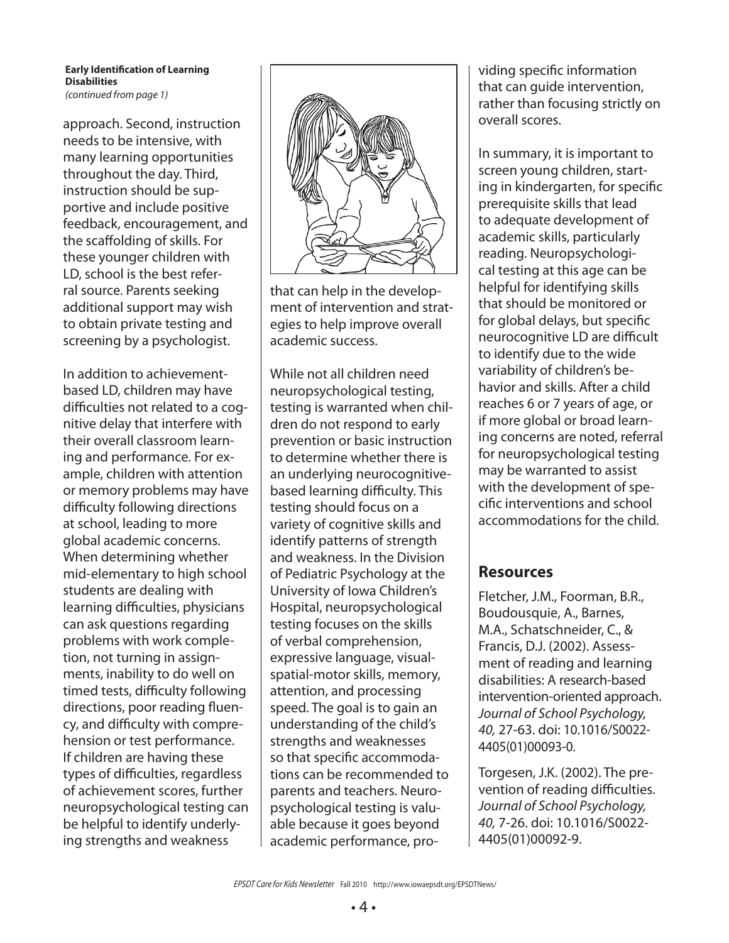#### **Early Identification of Learning Disabilities**

*(continued from page 1)*

approach. Second, instruction needs to be intensive, with many learning opportunities throughout the day. Third, instruction should be supportive and include positive feedback, encouragement, and the scaffolding of skills. For these younger children with LD, school is the best referral source. Parents seeking additional support may wish to obtain private testing and screening by a psychologist.

In addition to achievementbased LD, children may have difficulties not related to a cognitive delay that interfere with their overall classroom learning and performance. For example, children with attention or memory problems may have difficulty following directions at school, leading to more global academic concerns. When determining whether mid-elementary to high school students are dealing with learning difficulties, physicians can ask questions regarding problems with work completion, not turning in assignments, inability to do well on timed tests, difficulty following directions, poor reading fluency, and difficulty with comprehension or test performance. If children are having these types of difficulties, regardless of achievement scores, further neuropsychological testing can be helpful to identify underlying strengths and weakness



that can help in the development of intervention and strategies to help improve overall academic success.

While not all children need neuropsychological testing, testing is warranted when children do not respond to early prevention or basic instruction to determine whether there is an underlying neurocognitivebased learning difficulty. This testing should focus on a variety of cognitive skills and identify patterns of strength and weakness. In the Division of Pediatric Psychology at the University of Iowa Children's Hospital, neuropsychological testing focuses on the skills of verbal comprehension, expressive language, visualspatial-motor skills, memory, attention, and processing speed. The goal is to gain an understanding of the child's strengths and weaknesses so that specific accommodations can be recommended to parents and teachers. Neuropsychological testing is valuable because it goes beyond academic performance, providing specific information that can guide intervention, rather than focusing strictly on overall scores.

In summary, it is important to screen young children, starting in kindergarten, for specific prerequisite skills that lead to adequate development of academic skills, particularly reading. Neuropsychological testing at this age can be helpful for identifying skills that should be monitored or for global delays, but specific neurocognitive LD are difficult to identify due to the wide variability of children's behavior and skills. After a child reaches 6 or 7 years of age, or if more global or broad learning concerns are noted, referral for neuropsychological testing may be warranted to assist with the development of specific interventions and school accommodations for the child.

#### **Resources**

Fletcher, J.M., Foorman, B.R., Boudousquie, A., Barnes, M.A., Schatschneider, C., & Francis, D.J. (2002). Assessment of reading and learning disabilities: A research-based intervention-oriented approach. *Journal of School Psychology, 40,* 27-63. doi: 10.1016/S0022- 4405(01)00093-0.

Torgesen, J.K. (2002). The prevention of reading difficulties. *Journal of School Psychology, 40,* 7-26. doi: 10.1016/S0022- 4405(01)00092-9.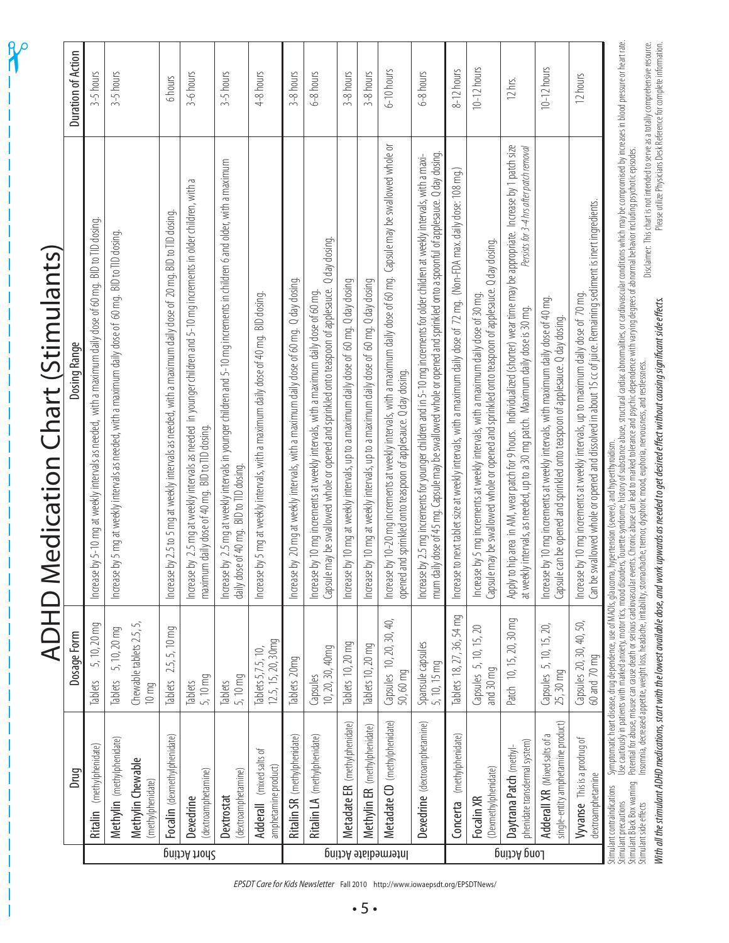|                     |                                                                                                               |                                                                    | <b>ADHD Medication Chart (Stimulants)</b>                                                                                                                                                                                                                                       |                           |
|---------------------|---------------------------------------------------------------------------------------------------------------|--------------------------------------------------------------------|---------------------------------------------------------------------------------------------------------------------------------------------------------------------------------------------------------------------------------------------------------------------------------|---------------------------|
|                     | Drug                                                                                                          | Dosage Form                                                        | Dosing Range                                                                                                                                                                                                                                                                    | <b>Duration of Action</b> |
|                     | Ritalin (methylphenidate)                                                                                     | 5, 10, 20 mg<br>Tablets                                            | by 5-10 mg at weekly intervals as needed, with a maximum daily dose of 60 mg. BID to TID dosing.<br>Increase                                                                                                                                                                    | $3-5$ hours               |
|                     | Methylin (methylphenidate)                                                                                    | 5, 10, 20 mg<br>Tablets                                            | by 5 mg at weekly intervals as needed, with a maximum daily dose of 60 mg. BID to TID dosing.<br>Increase                                                                                                                                                                       | $3-5$ hours               |
|                     | Methylin Chewable<br>(methylphenidate)                                                                        | Chewable tablets 2.5, 5,<br>10 <sub>mg</sub>                       |                                                                                                                                                                                                                                                                                 |                           |
|                     | Focalin (dexmethylphenidate)                                                                                  | $2.5, 5, 10$ mg<br><b>Tablets</b>                                  | by 2.5 to 5 mg at weekly intervals as needed, with a maximum daily dose of 20 mg. BID to TID dosing.<br>Increase                                                                                                                                                                | 6 hours                   |
| Short Acting        | (dextroamphetamine)<br>Dexedrine                                                                              | 5, 10 mg<br>Tablets                                                | Increase by 2.5 mg at weekly intervals as needed in younger children and 5-10 mg increments in older children, with a<br>maximum daily dose of 40 mg. BID to TID dosing                                                                                                         | 3-6 hours                 |
|                     | (dextroamphetamine)<br>Dextrostat                                                                             | 5,10 mg<br>Tablets                                                 | Increase by 2.5 mg at weekly intervals in younger children and 5–10 mg increments in children 6 and older, with a maximum<br>daily dose of 40 mg. BID to TID dosing.                                                                                                            | $3-5$ hours               |
|                     | Adderall (mixed salts of<br>amphetamine product)                                                              | 12.5, 15, 20, 30mg<br>Tablets 5,7.5, 10                            | BID dosing<br>Increase by 5 mg at weekly intervals, with a maximum daily dose of 40 mg.                                                                                                                                                                                         | 4-8 hours                 |
|                     | Ritalin SR (methylphenidate)                                                                                  | lablets 20mg                                                       | by 20 mg at weekly intervals, with a maximum daily dose of 60 mg. Q day dosing<br>Increase                                                                                                                                                                                      | 3-8 hours                 |
|                     | Ritalin LA (methylphenidate)                                                                                  | 10, 20, 30, 40mq<br>Capsules                                       | Q day dosing.<br>Capsule may be swallowed whole or opened and sprinkled onto teaspoon of applesauce.<br>Increase by 10 mg increments at weekly intervals, with a maximum daily dose of 60 mg.                                                                                   | 6-8 hours                 |
|                     | Metadate ER (methylphenidate)                                                                                 | Tablets 10, 20 mg                                                  | Increase by 10 mg at weekly intervals, up to a maximum daily dose of 60 mg. Q day dosing                                                                                                                                                                                        | 3-8 hours                 |
|                     | Methylin ER (methylphenidate)                                                                                 | Tablets 10, 20 mq                                                  | by 10 mg at weekly intervals, up to a maximum daily dose of 60 mg. Q day dosing<br>Increase                                                                                                                                                                                     | 3-8 hours                 |
| Intermediate Acting | Metadate CD (methylphenidate)                                                                                 | Capsules 10, 20, 30, 40,<br>50,60 mg                               | Increase by 10-20 mg increments at weekly intervals, with a maximum daily dose of 60 mg. Capsule may be swallowed whole or<br>opened and sprinkled onto teaspoon of applesauce. Q day dosing.                                                                                   | $6-10$ hours              |
|                     | Dexedrine (dextroamphetamine)                                                                                 | Spansule capsules<br>5, 10, 15 mq                                  | mum daily dose of 45 mg. Capsule may be swallowed whole or opened and sprinkled onto a spoonful of applesauce. Q day dosing.<br>Increase by 2.5 mg increments for younger children and in 5-10 mg increments for older children at weekly intervals, with a maxi-               | 5-8 hours                 |
|                     | (methylphenidate)<br>Concerta                                                                                 | lablets 18, 27, 36, 54 mg                                          | to next tablet size at weekly intervals, with a maximum daily dose of 72 mg. (Non-FDA max. daily dose: 108 mg.)<br>Increase                                                                                                                                                     | $8-12$ hours              |
|                     | (Dexmethylphenidate)<br>Focalin XR                                                                            | Capsules 5, 10, 15, 20<br>and 30 mq                                | Capsule may be swallowed whole or opened and sprinkled onto teaspoon of applesauce. Q day dosing.<br>Increase by 5 mg increments at weekly intervals, with a maximum daily dose of 30 mg.                                                                                       | $10-12$ hours             |
| Long Acting         | phenidate transdermal system)<br>Daytrana Patch (methyl-                                                      | Patch 10, 15, 20, 30 mg                                            | Apply to hip area in AM, wear patch for 9 hours. Individualized (shorter) wear time may be appropriate. Increase by 1 patch size<br>Persists for 3–4 hrs after patch removal<br>at weekly intervals, as needed, up to a 30 mg patch. Maximum daily dose is 30 mg.               | 12 hrs.                   |
|                     | single-entity amphetamine product)<br>Adderall XR (Mixed salts of a                                           | Capsules 5, 10, 15, 20,<br>25,30 mq                                | Increase by 10 mg increments at weekly intervals, with maximum daily dose of 40 mg.<br>can be opened and sprinkled onto teaspoon of applesauce. Q day dosing.<br>Capsule                                                                                                        | $10-12$ hours             |
|                     | <b>Vyvanse</b> This is a prodrug of<br>dextroamphetamine                                                      | Capsules 20, 30, 40, 50,<br>60 and 70 mg                           | Can be swallowed whole or opened and dissolved in about 15 cc of juice. Remaining sediment is inert ingredients.<br>Increase by 10 mg increments at weekly intervals, up to maximum daily dose of 70 mg.                                                                        | 12 hours                  |
|                     | Stimulant Black Box warning<br>Stimulant contraindications<br>Stimulant precautions<br>Stimulant side effects | Symptomatic heart disease, drug dependence, use of MAOIs, glaucoma | Use cautiously in patients with marked anxiety, mood disorders, Tourette syndrome, history of substance abuse, structural cardiac abnormalities, or cardiovascular conditions which may be compomised by inceases in blood pre<br>, hypertension (severe), and hyperthyroidism. |                           |

**20** 

*EPSDT Care for Kids Newsletter* Fall 2010 http://www.iowaepsdt.org/EPSDTNews/

*With all the stimulant ADHD medications, start with the lowest available dose, and work upwards as needed to get desired effect without causing significant side effects.*

With all the stimulant ADHD medications, start with the lowest available dose, and work upwards as needed to get desired effect without causing significant side effects.

Disclaimer: This chart is not intended to serve as a totally comprehensive resource.

Disclaimer: This chart is not intended to serve as a totally comprehensive resource.

Please utilize Physicians Desk Reference for complete information.

Please utilize Physicians Desk Reference for complete information.

• 5 •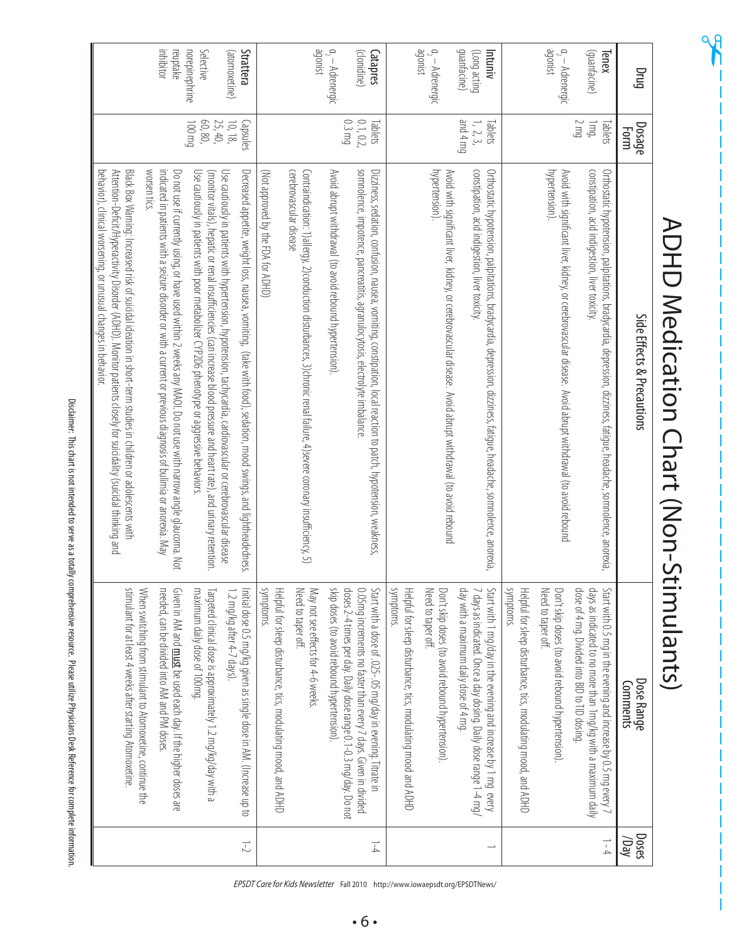|                                               |                                  | ADHD Medication Chart (Non-Stimulants)                                                                                                                                                                                                                                                                             |                                                                                                                                                                                                                                                   |                |
|-----------------------------------------------|----------------------------------|--------------------------------------------------------------------------------------------------------------------------------------------------------------------------------------------------------------------------------------------------------------------------------------------------------------------|---------------------------------------------------------------------------------------------------------------------------------------------------------------------------------------------------------------------------------------------------|----------------|
| Drug                                          | <b>Dosage</b><br><b>Form</b>     | Side Effects & Precautions                                                                                                                                                                                                                                                                                         | Dose Range<br>Comments                                                                                                                                                                                                                            | Doses<br>/Day  |
| (guanfacine)<br>Tenex                         | S mg<br>Jmg,<br>Tablets          | constipation, acid indigestion, liver toxicity,<br>Orthostatic hypotension, palpitations, bradycardia, depression, dizziness, fatigue, headache, somnolence, anorexia,                                                                                                                                             | dose of 4 mg. Divided into BID to TID dosing.<br>days as indicated to no more than 1mg/kg with a maximum daily<br>Start with 0.5 mg in the evening and increase by 0.5 mg every 7                                                                 | $\frac{1}{4}$  |
| agonist<br>$a_2 -$ Adrenergic                 |                                  | hypertension).<br>Avoid with significant liver, kidney, or cerebrovascular disease.  Avoid abrupt withdrawal (to avoid rebound                                                                                                                                                                                     | Need to taper off.<br>Don't skip doses (to avoid rebound hypertension)                                                                                                                                                                            |                |
|                                               |                                  |                                                                                                                                                                                                                                                                                                                    | suuppoms<br>Helpful for sleep disturbance, tics, modulating mood, and ADHD                                                                                                                                                                        |                |
| guanfacine)<br>(Long acting<br>Intuniv        | om 4 mg<br>1, 2, 3,<br>Tablets   | Orthostatic hypotension, palpitations, bradycardia, depression, dizziness, fatigue, headache, somnolence, anorexia,<br>constipation, acid indigestion, liver toxicity                                                                                                                                              | day with a maximum daily dose of 4 mg.<br>7 days as indicated. Once a day dosing. Daily dose range 1-4 mg/<br>Start with 1 mg/day in the evening and increase by 1 mg every                                                                       |                |
| paramet<br>$a_2 -$ Adrenergic                 |                                  | hypertension)<br>Avoid with significant liver, kidney, or cerebrovascular disease. Avoid abrupt withdrawal (to avoid rebound                                                                                                                                                                                       | Need to taper off.<br>Don't skip doses (to avoid rebound hypertension)                                                                                                                                                                            |                |
|                                               |                                  |                                                                                                                                                                                                                                                                                                                    | symptoms.<br>Helpful for sleep disturbance, tics, modulating mood and ADHD                                                                                                                                                                        |                |
| $a_2 -$ Adrenergic<br>(clonidine)<br>Catapres | 0.3 mg<br>0.1, 0.2,<br>Tablets   | somnolence, impotence, pancreatitis, agranulocytosis, electrolyte imbalance<br>Avoid abrupt withdrawal (to avoid rebound hypertension)<br>Dizziness, sedation, confusion, nausea, vomiting, constipation, local reaction to patch, hypotension, weakness                                                           | skip doses (to avoid rebound hypertension)<br>doses 2-4 times per day. Daily dose range 0.1-0.3 mg/day. Do not<br>0.05mg increments no faster than every 7 days. Given in divided<br>Start with a dose of .025 -.05 mg/day in evening. Titrate in | $\frac{1}{4}$  |
| agonist                                       |                                  | cerebrovascular disease<br>Contraindication: 1)allergy, 2)conduction disturbances, 3)chronic renal failure, 4)severe coronary insufficiency, 5)                                                                                                                                                                    | Need to taper off.<br>May not see effects for 4-6 weeks                                                                                                                                                                                           |                |
|                                               |                                  | (Not approved by the FDA for ADHD)                                                                                                                                                                                                                                                                                 | symptoms.<br>Helpful for sleep disturbance, tics, modulating mood, and ADHD                                                                                                                                                                       |                |
| Strattera<br>(atomoxetine)                    | $10, 18$<br>$25, 40$<br>capsules | Use cautiously in patients with hypertension, hypotension, tachycardia, cardiovascular or cerebrovascular disease<br>Decreased appetite, weight loss, nausea, vomiting, (take with food), sedation, mood swings, and lightheadedness                                                                               | 1.2 mg/kg after 4-7 days).<br>hitial dose 0.5 mg/kg given as single dose in AM. (Increase up to                                                                                                                                                   | $\overline{C}$ |
| norepinephrine<br>Selective                   | 60,80,<br><b>Du 001</b>          | Use cautiously in patients with poor metabolizer CYP2D6 phenotype or aggressive behaviors.<br>(monitor vitals), hepatic or renal insufficiencies (can increase blood pressure and heart rate), and urinary retention.                                                                                              | maximum daily dose of 100mg.<br>Targeted clinical dose is approximately 1.2 mg/kg/day with a                                                                                                                                                      |                |
| inhibitor<br>reuptake                         |                                  | indicated in patients with a seizure disorder or with a current or previous diagnosis of bulimia or anorexia. May<br>Do not use if currently using, or have used within 2 weeks any MAOI. Do not use with narrow angle glaucoma. Not                                                                               | needed, can be divided into AM and PM doses<br>Given in AM and <b>must</b> be used each day. If the higher doses are                                                                                                                              |                |
|                                               |                                  | worsen tics.<br>Black Box Warning: Intreased tisk of Suite and Islamic in short-term studies in children or adobescents with<br>behavior), clinical worsening, or unusual changes in behavior.<br>Attention-Deficit/Hyperactivity Disorder (ADHD). Monitor patients closely for suicidality (suicidal thinking and | stimulant for at least 4 weeks after starting Atomoxetine<br>When switching from stimulant to Atomoxetine, continue the                                                                                                                           |                |

op<br>R

Disclaimer: This chart is not intended to serve as a totally comprehensive resource. Please utilize Physicians Desk Reference for complete information. Disclaimer: This chart is not intended to serve as a totally comprehensive resource. Please utilize Physicians Desk Reference for complete information.

*EPSDT Care for Kids Newsletter* Fall 2010 http://www.iowaepsdt.org/EPSDTNews/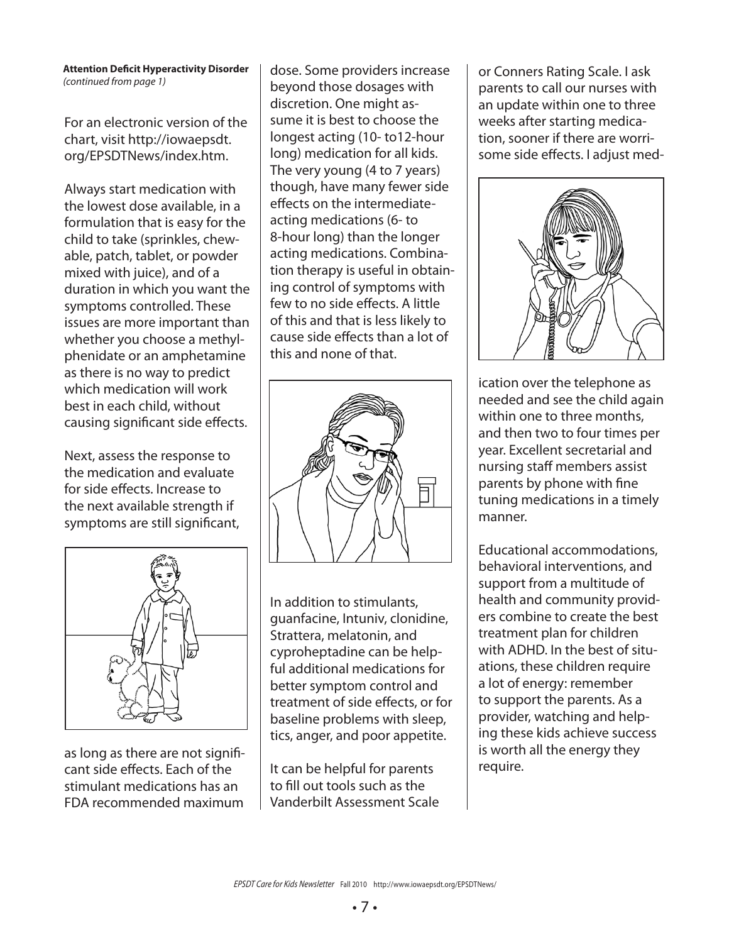For an electronic version of the chart, visit http://iowaepsdt. org/EPSDTNews/index.htm.

Always start medication with the lowest dose available, in a formulation that is easy for the child to take (sprinkles, chewable, patch, tablet, or powder mixed with juice), and of a duration in which you want the symptoms controlled. These issues are more important than whether you choose a methylphenidate or an amphetamine as there is no way to predict which medication will work best in each child, without causing significant side effects.

Next, assess the response to the medication and evaluate for side effects. Increase to the next available strength if symptoms are still significant,



as long as there are not significant side effects. Each of the stimulant medications has an FDA recommended maximum

dose. Some providers increase beyond those dosages with discretion. One might assume it is best to choose the longest acting (10- to12-hour long) medication for all kids. The very young (4 to 7 years) though, have many fewer side effects on the intermediateacting medications (6- to 8-hour long) than the longer acting medications. Combination therapy is useful in obtaining control of symptoms with few to no side effects. A little of this and that is less likely to cause side effects than a lot of this and none of that.



In addition to stimulants, guanfacine, Intuniv, clonidine, Strattera, melatonin, and cyproheptadine can be helpful additional medications for better symptom control and treatment of side effects, or for baseline problems with sleep, tics, anger, and poor appetite.

It can be helpful for parents to fill out tools such as the Vanderbilt Assessment Scale or Conners Rating Scale. I ask parents to call our nurses with an update within one to three weeks after starting medication, sooner if there are worrisome side effects. I adjust med-



ication over the telephone as needed and see the child again within one to three months, and then two to four times per year. Excellent secretarial and nursing staff members assist parents by phone with fine tuning medications in a timely manner.

Educational accommodations, behavioral interventions, and support from a multitude of health and community providers combine to create the best treatment plan for children with ADHD. In the best of situations, these children require a lot of energy: remember to support the parents. As a provider, watching and helping these kids achieve success is worth all the energy they require.